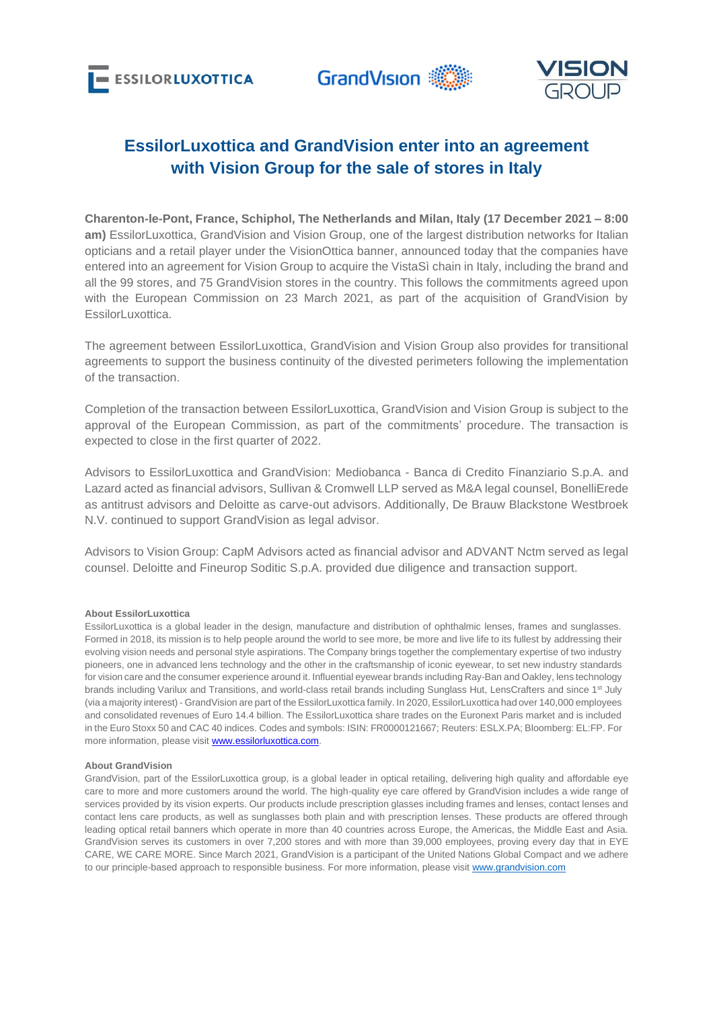



# **EssilorLuxottica and GrandVision enter into an agreement with Vision Group for the sale of stores in Italy**

**Charenton-le-Pont, France, Schiphol, The Netherlands and Milan, Italy (17 December 2021 – 8:00 am)** EssilorLuxottica, GrandVision and Vision Group, one of the largest distribution networks for Italian opticians and a retail player under the VisionOttica banner, announced today that the companies have entered into an agreement for Vision Group to acquire the VistaSì chain in Italy, including the brand and all the 99 stores, and 75 GrandVision stores in the country. This follows the commitments agreed upon with the European Commission on 23 March 2021, as part of the acquisition of GrandVision by EssilorLuxottica

The agreement between EssilorLuxottica, GrandVision and Vision Group also provides for transitional agreements to support the business continuity of the divested perimeters following the implementation of the transaction.

Completion of the transaction between EssilorLuxottica, GrandVision and Vision Group is subject to the approval of the European Commission, as part of the commitments' procedure. The transaction is expected to close in the first quarter of 2022.

Advisors to EssilorLuxottica and GrandVision: Mediobanca - Banca di Credito Finanziario S.p.A. and Lazard acted as financial advisors, Sullivan & Cromwell LLP served as M&A legal counsel, BonelliErede as antitrust advisors and Deloitte as carve-out advisors. Additionally, De Brauw Blackstone Westbroek N.V. continued to support GrandVision as legal advisor.

Advisors to Vision Group: CapM Advisors acted as financial advisor and ADVANT Nctm served as legal counsel. Deloitte and Fineurop Soditic S.p.A. provided due diligence and transaction support.

#### **About EssilorLuxottica**

EssilorLuxottica is a global leader in the design, manufacture and distribution of ophthalmic lenses, frames and sunglasses. Formed in 2018, its mission is to help people around the world to see more, be more and live life to its fullest by addressing their evolving vision needs and personal style aspirations. The Company brings together the complementary expertise of two industry pioneers, one in advanced lens technology and the other in the craftsmanship of iconic eyewear, to set new industry standards for vision care and the consumer experience around it. Influential eyewear brands including Ray-Ban and Oakley, lens technology brands including Varilux and Transitions, and world-class retail brands including Sunglass Hut, LensCrafters and since 1<sup>st</sup> July (via a majority interest) - GrandVision are part of the EssilorLuxottica family. In 2020, EssilorLuxottica had over 140,000 employees and consolidated revenues of Euro 14.4 billion. The EssilorLuxottica share trades on the Euronext Paris market and is included in the Euro Stoxx 50 and CAC 40 indices. Codes and symbols: ISIN: FR0000121667; Reuters: ESLX.PA; Bloomberg: EL:FP. For more information, please visit **www.essilorluxottica.com**.

#### **About GrandVision**

GrandVision, part of the EssilorLuxottica group, is a global leader in optical retailing, delivering high quality and affordable eye care to more and more customers around the world. The high-quality eye care offered by GrandVision includes a wide range of services provided by its vision experts. Our products include prescription glasses including frames and lenses, contact lenses and contact lens care products, as well as sunglasses both plain and with prescription lenses. These products are offered through leading optical retail banners which operate in more than 40 countries across Europe, the Americas, the Middle East and Asia. GrandVision serves its customers in over 7,200 stores and with more than 39,000 employees, proving every day that in EYE CARE, WE CARE MORE. Since March 2021, GrandVision is a participant of the United Nations Global Compact and we adhere to our principle-based approach to responsible business. For more information, please visit [www.grandvision.com](http://www.grandvision.com/)